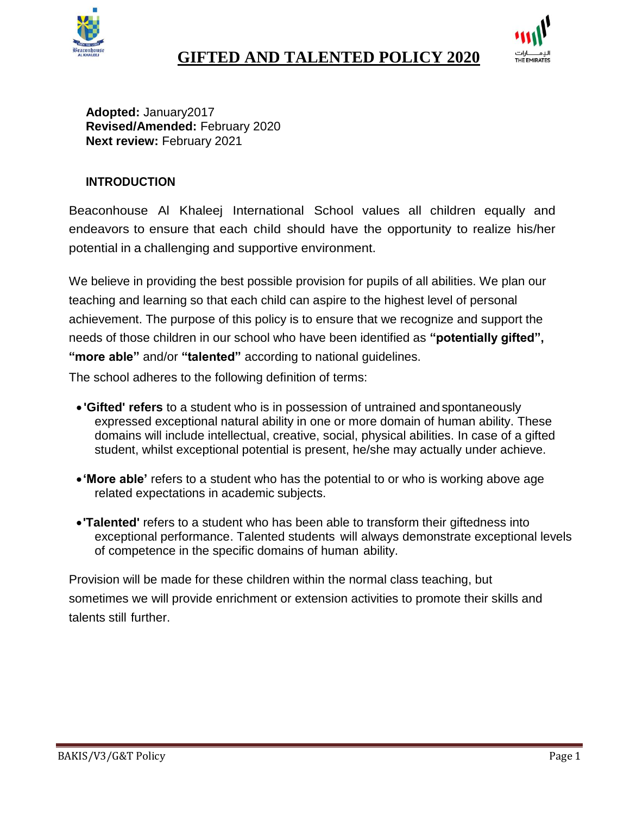



**Adopted:** January2017 **Revised/Amended:** February 2020 **Next review:** February 2021

## **INTRODUCTION**

Beaconhouse Al Khaleej International School values all children equally and endeavors to ensure that each child should have the opportunity to realize his/her potential in a challenging and supportive environment.

We believe in providing the best possible provision for pupils of all abilities. We plan our teaching and learning so that each child can aspire to the highest level of personal achievement. The purpose of this policy is to ensure that we recognize and support the needs of those children in our school who have been identified as **"potentially gifted", "more able"** and/or **"talented"** according to national guidelines.

The school adheres to the following definition of terms:

- **'Gifted' refers** to a student who is in possession of untrained and spontaneously expressed exceptional natural ability in one or more domain of human ability. These domains will include intellectual, creative, social, physical abilities. In case of a gifted student, whilst exceptional potential is present, he/she may actually under achieve.
- **'More able'** refers to a student who has the potential to or who is working above age related expectations in academic subjects.
- **'Talented'** refers to a student who has been able to transform their giftedness into exceptional performance. Talented students will always demonstrate exceptional levels of competence in the specific domains of human ability.

Provision will be made for these children within the normal class teaching, but sometimes we will provide enrichment or extension activities to promote their skills and talents still further.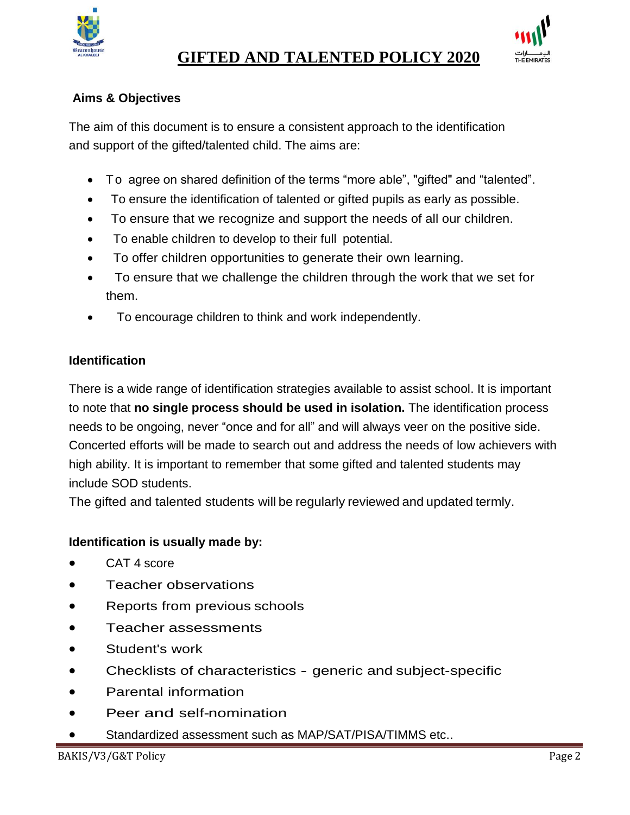



## **Aims & Objectives**

The aim of this document is to ensure a consistent approach to the identification and support of the gifted/talented child. The aims are:

- To agree on shared definition of the terms "more able", "gifted" and "talented".
- To ensure the identification of talented or gifted pupils as early as possible.
- To ensure that we recognize and support the needs of all our children.
- To enable children to develop to their full potential.
- To offer children opportunities to generate their own learning.
- To ensure that we challenge the children through the work that we set for them.
- To encourage children to think and work independently.

## **Identification**

There is a wide range of identification strategies available to assist school. It is important to note that **no single process should be used in isolation.** The identification process needs to be ongoing, never "once and for all" and will always veer on the positive side. Concerted efforts will be made to search out and address the needs of low achievers with high ability. It is important to remember that some gifted and talented students may include SOD students.

The gifted and talented students will be regularly reviewed and updated termly.

# **Identification is usually made by:**

- CAT 4 score
- Teacher observations
- Reports from previous schools
- Teacher assessments
- Student's work
- Checklists of characteristics generic and subject-specific
- Parental information
- Peer and self-nomination
- Standardized assessment such as MAP/SAT/PISA/TIMMS etc..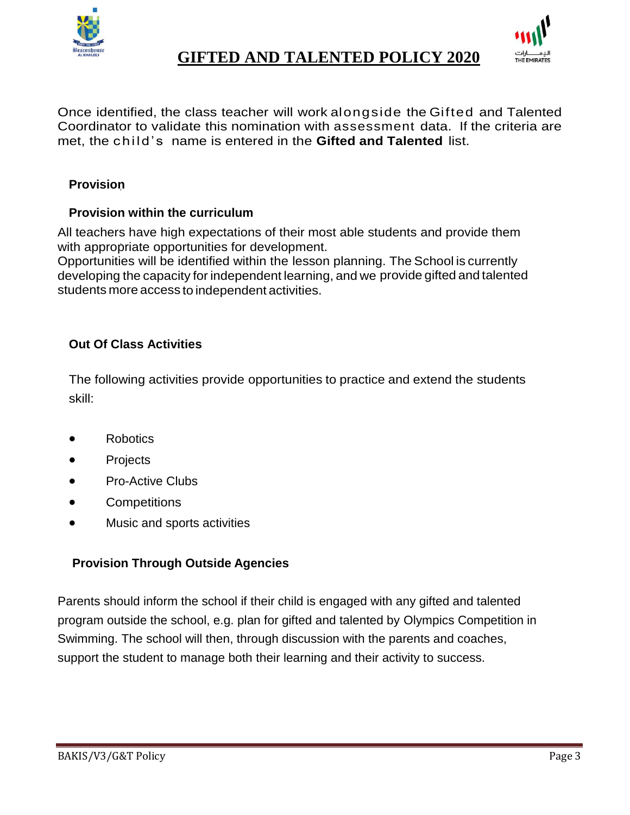



Once identified, the class teacher will work alongside the Gifted and Talented Coordinator to validate this nomination with assessment data. If the criteria are met, the child's name is entered in the **Gifted and Talented** list.

## **Provision**

## **Provision within the curriculum**

All teachers have high expectations of their most able students and provide them with appropriate opportunities for development.

Opportunities will be identified within the lesson planning. The School is currently developing the capacity for independent learning, and we provide gifted and talented students more access to independent activities.

## **Out Of Class Activities**

The following activities provide opportunities to practice and extend the students skill:

- **Robotics**
- **Projects**
- Pro-Active Clubs
- **Competitions**
- Music and sports activities

## **Provision Through Outside Agencies**

Parents should inform the school if their child is engaged with any gifted and talented program outside the school, e.g. plan for gifted and talented by Olympics Competition in Swimming. The school will then, through discussion with the parents and coaches, support the student to manage both their learning and their activity to success.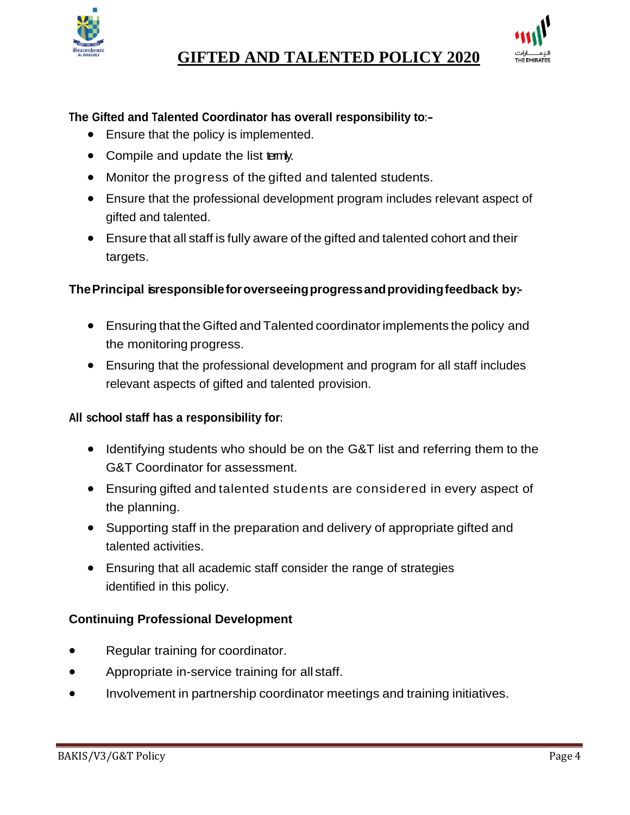



### **The Gifted and Talented Coordinator has overall responsibility to:-**

- Ensure that the policy is implemented.
- Compile and update the list termly.
- Monitor the progress of the gifted and talented students.
- Ensure that the professional development program includes relevant aspect of gifted and talented.
- Ensure that all staff is fully aware of the gifted and talented cohort and their targets.

#### **ThePrincipal isresponsibleforoverseeingprogressandprovidingfeedback by:-**

- Ensuring that the Gifted and Talented coordinatorimplements the policy and the monitoring progress.
- Ensuring that the professional development and program for all staff includes relevant aspects of gifted and talented provision.

#### **All school staff has a responsibility for:**

- Identifying students who should be on the G&T list and referring them to the G&T Coordinator for assessment.
- Ensuring gifted and talented students are considered in every aspect of the planning.
- Supporting staff in the preparation and delivery of appropriate gifted and talented activities.
- Ensuring that all academic staff consider the range of strategies identified in this policy.

### **Continuing Professional Development**

- Regular training for coordinator.
- Appropriate in-service training for all staff.
- Involvement in partnership coordinator meetings and training initiatives.